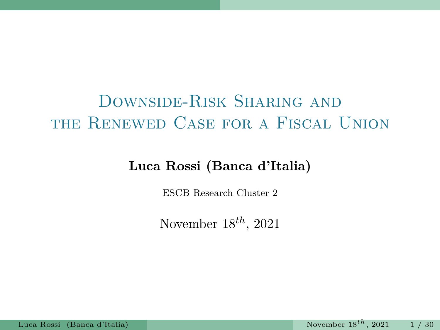# DOWNSIDE-RISK SHARING AND the Renewed Case for a Fiscal Union

#### Luca Rossi (Banca d'Italia)

ESCB Research Cluster 2

November  $18^{th}$ , 2021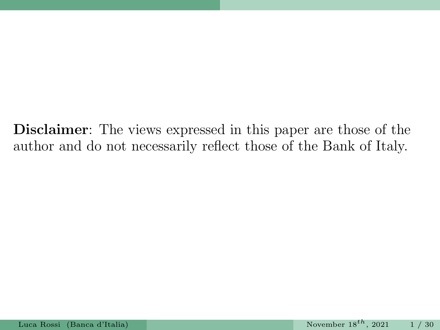Disclaimer: The views expressed in this paper are those of the author and do not necessarily reflect those of the Bank of Italy.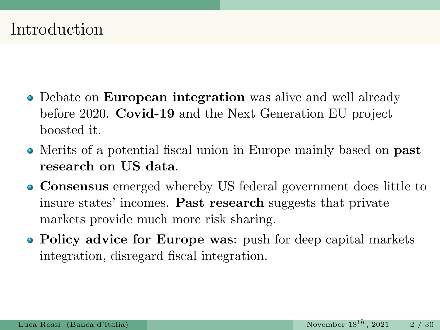#### Introduction

- Debate on **European integration** was alive and well already before 2020. Covid-19 and the Next Generation EU project boosted it.
- Merits of a potential fiscal union in Europe mainly based on past research on US data.
- Consensus emerged whereby US federal government does little to insure states' incomes. Past research suggests that private markets provide much more risk sharing.
- Policy advice for Europe was: push for deep capital markets integration, disregard fiscal integration.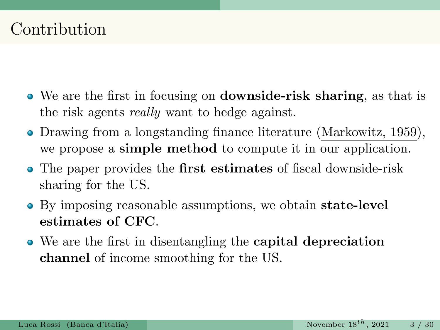# Contribution

- We are the first in focusing on downside-risk sharing, as that is the risk agents really want to hedge against.
- Drawing from a longstanding finance literature (Markowitz, 1959), we propose a simple method to compute it in our application.
- The paper provides the **first estimates** of fiscal downside-risk sharing for the US.
- By imposing reasonable assumptions, we obtain state-level estimates of CFC.
- We are the first in disentangling the capital depreciation channel of income smoothing for the US.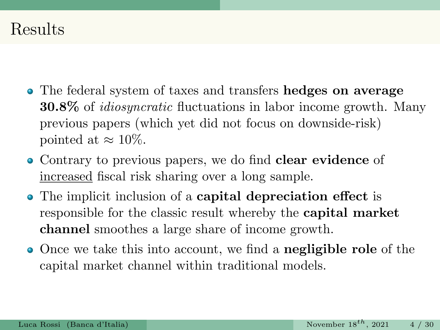#### Results

- The federal system of taxes and transfers hedges on average 30.8% of idiosyncratic fluctuations in labor income growth. Many previous papers (which yet did not focus on downside-risk) pointed at  $\approx 10\%$ .
- Contrary to previous papers, we do find clear evidence of increased fiscal risk sharing over a long sample.
- The implicit inclusion of a capital depreciation effect is responsible for the classic result whereby the capital market channel smoothes a large share of income growth.
- Once we take this into account, we find a **negligible role** of the capital market channel within traditional models.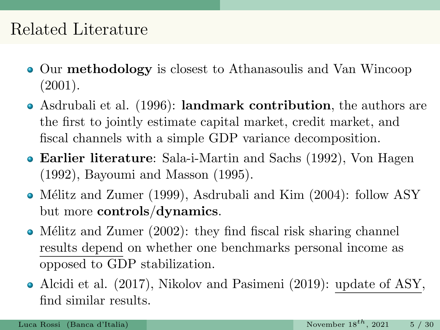## Related Literature

- Our methodology is closest to Athanasoulis and Van Wincoop (2001).
- Asdrubali et al. (1996): landmark contribution, the authors are the first to jointly estimate capital market, credit market, and fiscal channels with a simple GDP variance decomposition.
- Earlier literature: Sala-i-Martin and Sachs (1992), Von Hagen (1992), Bayoumi and Masson (1995).
- Mélitz and Zumer (1999), Asdrubali and Kim (2004): follow ASY but more controls/dynamics.
- Mélitz and Zumer  $(2002)$ : they find fiscal risk sharing channel results depend on whether one benchmarks personal income as opposed to GDP stabilization.
- Alcidi et al. (2017), Nikolov and Pasimeni (2019): update of ASY, find similar results.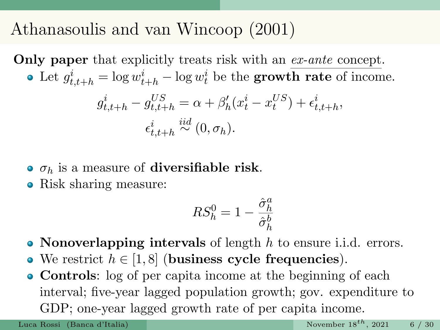# Athanasoulis and van Wincoop (2001)

Only paper that explicitly treats risk with an ex-ante concept. Let  $g_{t,t+h}^i = \log w_{t+h}^i - \log w_t^i$  be the **growth rate** of income.  $g_{t,t+h}^i-g_{t,t+h}^{US}=\alpha+\beta_h'(x_t^i-x_t^{US})+\epsilon_{t,t+h}^i,$  $\epsilon^i_{t,t+h} \stackrel{iid}{\sim} (0,\sigma_h).$ 

- $\bullet$   $\sigma_h$  is a measure of **diversifiable risk**.
- Risk sharing measure:

$$
RS_h^0 = 1 - \frac{\hat{\sigma}_h^a}{\hat{\sigma}_h^b}
$$

- Nonoverlapping intervals of length  $h$  to ensure i.i.d. errors.
- We restrict  $h \in [1, 8]$  (business cycle frequencies).
- Controls: log of per capita income at the beginning of each interval; five-year lagged population growth; gov. expenditure to GDP; one-year lagged growth rate of per capita income.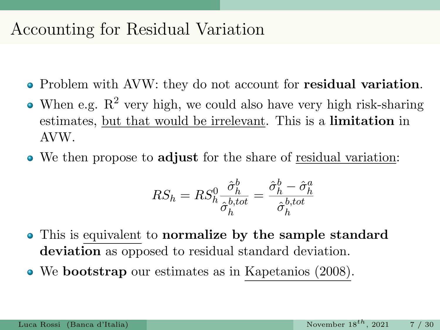### Accounting for Residual Variation

- Problem with AVW: they do not account for residual variation.
- When e.g.  $R^2$  very high, we could also have very high risk-sharing estimates, but that would be irrelevant. This is a **limitation** in AVW.
- We then propose to adjust for the share of residual variation:

$$
RS_h = RS_h^0 \frac{\hat{\sigma}_h^b}{\hat{\sigma}_h^{b,tot}} = \frac{\hat{\sigma}_h^b - \hat{\sigma}_h^a}{\hat{\sigma}_h^{b,tot}}
$$

- This is equivalent to normalize by the sample standard deviation as opposed to residual standard deviation.
- We bootstrap our estimates as in Kapetanios (2008).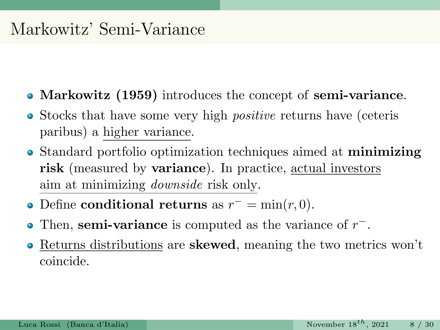#### Markowitz' Semi-Variance

- Markowitz (1959) introduces the concept of semi-variance.
- Stocks that have some very high *positive* returns have (ceteris paribus) a higher variance.
- Standard portfolio optimization techniques aimed at minimizing risk (measured by variance). In practice, actual investors aim at minimizing downside risk only.
- Define **conditional returns** as  $r^- = \min(r, 0)$ .
- Then, semi-variance is computed as the variance of  $r^-$ .
- Returns distributions are skewed, meaning the two metrics won't  $\bullet$ coincide.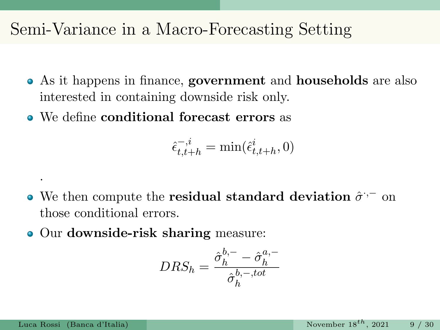### Semi-Variance in a Macro-Forecasting Setting

- As it happens in finance, government and households are also interested in containing downside risk only.
- We define conditional forecast errors as

$$
\hat{\epsilon}_{t,t+h}^{-,i} = \min(\hat{\epsilon}_{t,t+h}^i, 0)
$$

- We then compute the **residual standard deviation**  $\hat{\sigma}$ <sup> $\cdot$ </sup> on those conditional errors.
- Our downside-risk sharing measure:

$$
DRS_h = \frac{\hat{\sigma}_h^{b,-} - \hat{\sigma}_h^{a,-}}{\hat{\sigma}_h^{b,-,tot}}
$$

.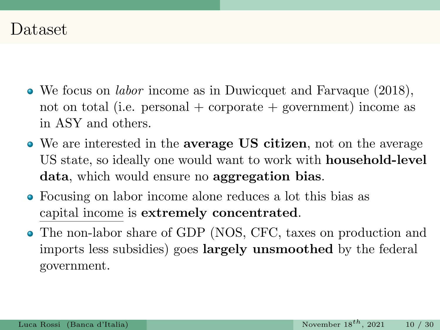#### Dataset

- We focus on labor income as in Duwicquet and Farvaque (2018), not on total (i.e. personal  $+$  corporate  $+$  government) income as in ASY and others.
- We are interested in the average US citizen, not on the average US state, so ideally one would want to work with household-level data, which would ensure no aggregation bias.
- Focusing on labor income alone reduces a lot this bias as capital income is extremely concentrated.
- The non-labor share of GDP (NOS, CFC, taxes on production and imports less subsidies) goes largely unsmoothed by the federal government.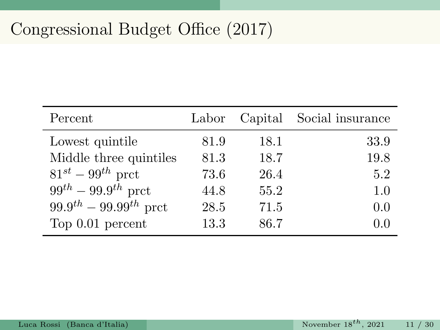# Congressional Budget Office (2017)

| Percent                       | Labor |      | Capital Social insurance |
|-------------------------------|-------|------|--------------------------|
| Lowest quintile               | 81.9  | 18.1 | 33.9                     |
| Middle three quintiles        | 81.3  | 18.7 | 19.8                     |
| $81^{st} - 99^{th}$ prct      | 73.6  | 26.4 | 5.2                      |
| $99^{th} - 99.9^{th}$ prct    | 44.8  | 55.2 | 1.0                      |
| $99.9^{th} - 99.99^{th}$ prct | 28.5  | 71.5 | 0.0                      |
| Top 0.01 percent              | 13.3  | 86.7 | 0.0                      |

ä,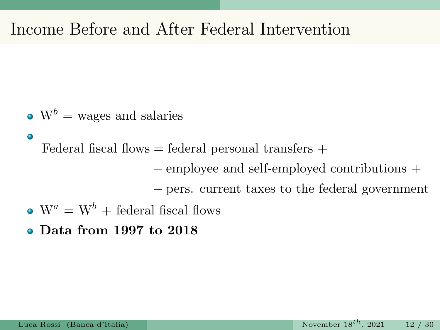# Income Before and After Federal Intervention

 $\bullet$  W<sup>b</sup> = wages and salaries

 $\bullet$ Federal fiscal flows  $=$  federal personal transfers  $+$ 

− employee and self-employed contributions +

− pers. current taxes to the federal government

- $\bullet$  W<sup>a</sup> = W<sup>b</sup> + federal fiscal flows
- Data from 1997 to 2018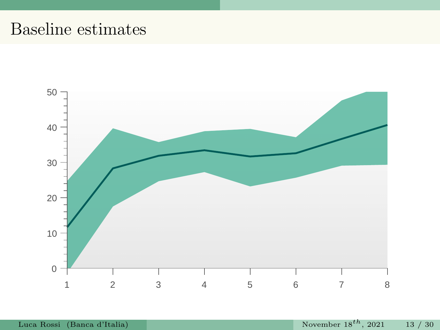# Baseline estimates

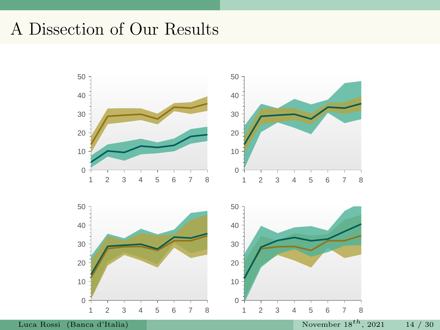# A Dissection of Our Results



Luca Rossi (Banca d'Italia) November  $18^{th}$ , 2021 14 / 30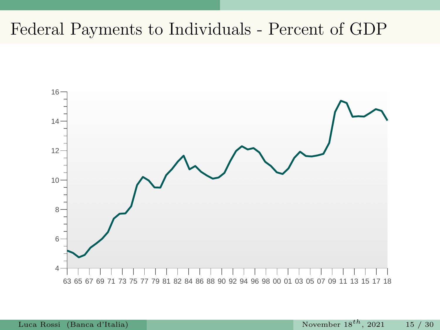### Federal Payments to Individuals - Percent of GDP

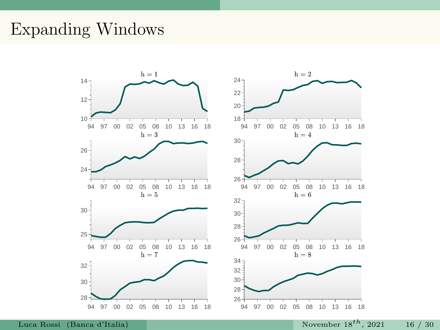### Expanding Windows

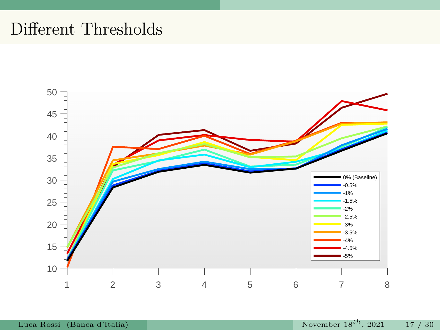# Different Thresholds

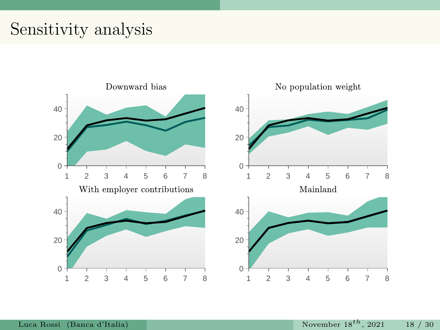### Sensitivity analysis

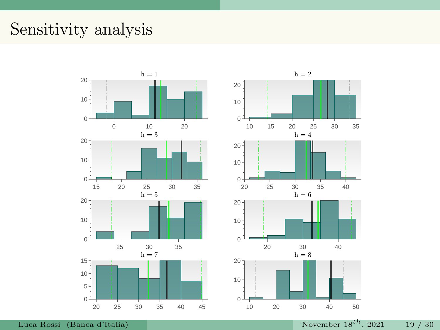# Sensitivity analysis

![](_page_19_Figure_1.jpeg)

![](_page_19_Figure_2.jpeg)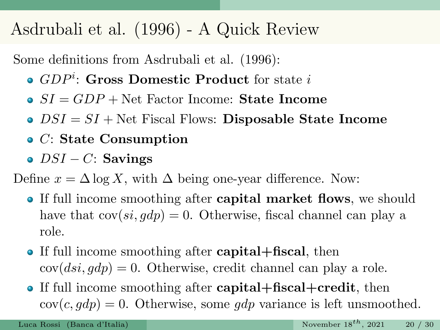# Asdrubali et al. (1996) - A Quick Review

Some definitions from Asdrubali et al. (1996):

- $GDP^i$ : Gross Domestic Product for state i
- $S_I = GDP + Net Factor Income: State Income$
- $\bullet$   $DSI = SI + Net$  Fiscal Flows: Disposable State Income
- C: State Consumption
- $\bullet$  DSI C: Savings

Define  $x = \Delta \log X$ , with  $\Delta$  being one-year difference. Now:

- If full income smoothing after **capital market flows**, we should have that  $cov(s_i, gdp) = 0$ . Otherwise, fiscal channel can play a role.
- If full income smoothing after **capital+fiscal**, then  $cov(ds_i, gdp) = 0$ . Otherwise, credit channel can play a role.
- If full income smoothing after **capital+fiscal+credit**, then  $cov(c, gdp) = 0$ . Otherwise, some gdp variance is left unsmoothed.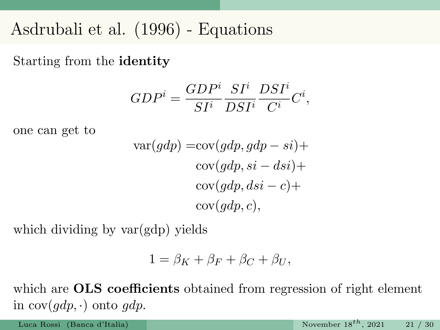### Asdrubali et al. (1996) - Equations

Starting from the identity

$$
GDP^i = \frac{GDP^i}{SI^i} \frac{SI^i}{DSI^i} \frac{DSI^i}{C^i} C^i,
$$

one can get to

$$
var(gdp) = cov(gdp, gdp - si) +
$$
  
\n
$$
cov(gdp, si - dis) +
$$
  
\n
$$
cov(gdp, disi - c) +
$$
  
\n
$$
cov(gdp, c),
$$

which dividing by  $var(gdp)$  yields

$$
1 = \beta_K + \beta_F + \beta_C + \beta_U,
$$

which are **OLS** coefficients obtained from regression of right element in  $cov(qdp, \cdot)$  onto gdp.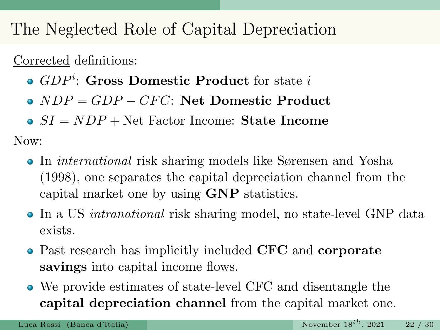The Neglected Role of Capital Depreciation

Corrected definitions:

- $GDP^i$ : Gross Domestic Product for state i
- $\bullet$  NDP = GDP CFC: Net Domestic Product
- $\bullet SI = NDP + Net Factor Income: State Income$

Now:

- In *international* risk sharing models like Sørensen and Yosha (1998), one separates the capital depreciation channel from the capital market one by using GNP statistics.
- In a US *intranational* risk sharing model, no state-level GNP data exists.
- Past research has implicitly included CFC and corporate savings into capital income flows.
- We provide estimates of state-level CFC and disentangle the capital depreciation channel from the capital market one.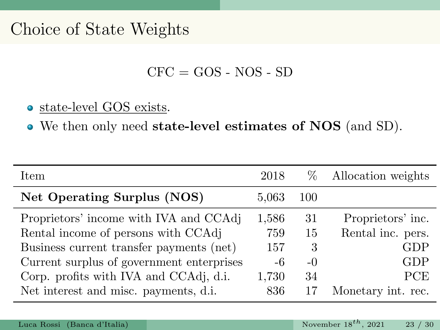# Choice of State Weights

 $CFC = GOS - NOS - SD$ 

#### state-level GOS exists.

We then only need state-level estimates of NOS (and SD).

| Item                                      | 2018  | %     | Allocation weights |
|-------------------------------------------|-------|-------|--------------------|
| Net Operating Surplus (NOS)               | 5,063 | 100   |                    |
| Proprietors' income with IVA and CCAdj    | 1,586 | 31    | Proprietors' inc.  |
| Rental income of persons with CCAdj       | 759   | 15    | Rental inc. pers.  |
| Business current transfer payments (net)  | 157   | 3     | GDP                |
| Current surplus of government enterprises | -6    | $-()$ | GDP                |
| Corp. profits with IVA and CCAdj, d.i.    | 1,730 | 34    | <b>PCE</b>         |
| Net interest and misc. payments, d.i.     | 836   |       | Monetary int. rec. |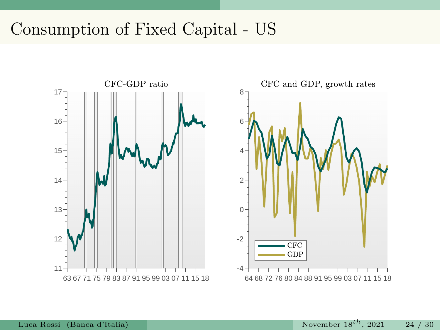## Consumption of Fixed Capital - US

![](_page_24_Figure_1.jpeg)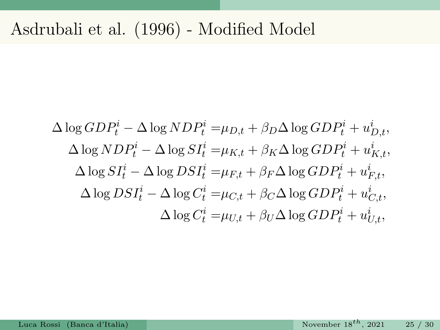# Asdrubali et al. (1996) - Modified Model

$$
\Delta \log GDP_t^i - \Delta \log NDP_t^i = \mu_{D,t} + \beta_D \Delta \log GDP_t^i + u_{D,t}^i,
$$
  
\n
$$
\Delta \log NDP_t^i - \Delta \log SI_t^i = \mu_{K,t} + \beta_K \Delta \log GDP_t^i + u_{K,t}^i,
$$
  
\n
$$
\Delta \log SI_t^i - \Delta \log DSI_t^i = \mu_{F,t} + \beta_F \Delta \log GDP_t^i + u_{F,t}^i,
$$
  
\n
$$
\Delta \log DSI_t^i - \Delta \log C_t^i = \mu_{C,t} + \beta_C \Delta \log GDP_t^i + u_{C,t}^i,
$$
  
\n
$$
\Delta \log C_t^i = \mu_{U,t} + \beta_U \Delta \log GDP_t^i + u_{U,t}^i,
$$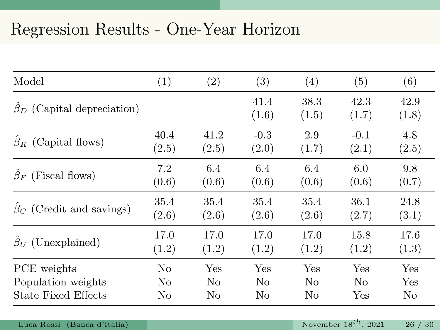# Regression Results - One-Year Horizon

| Model                            | (1)   | (2)   | (3)           | (4)           | (5)           | (6)           |
|----------------------------------|-------|-------|---------------|---------------|---------------|---------------|
| $\beta_D$ (Capital depreciation) |       |       | 41.4<br>(1.6) | 38.3<br>(1.5) | 42.3<br>(1.7) | 42.9<br>(1.8) |
| $\beta_K$ (Capital flows)        | 40.4  | 41.2  | $-0.3$        | 2.9           | $-0.1$        | 4.8           |
|                                  | (2.5) | (2.5) | (2.0)         | (1.7)         | (2.1)         | (2.5)         |
| $\beta_F$ (Fiscal flows)         | 7.2   | 6.4   | 6.4           | 6.4           | 6.0           | 9.8           |
|                                  | (0.6) | (0.6) | (0.6)         | (0.6)         | (0.6)         | (0.7)         |
| $\beta_C$ (Credit and savings)   | 35.4  | 35.4  | 35.4          | 35.4          | 36.1          | 24.8          |
|                                  | (2.6) | (2.6) | (2.6)         | (2.6)         | (2.7)         | (3.1)         |
| $\beta_U$ (Unexplained)          | 17.0  | 17.0  | 17.0          | 17.0          | 15.8          | 17.6          |
|                                  | (1.2) | (1.2) | (1.2)         | (1.2)         | (1.2)         | (1.3)         |
| PCE weights                      | No    | Yes   | Yes           | Yes           | Yes           | Yes           |
| Population weights               | No    | No    | No            | No            | No            | Yes           |
| State Fixed Effects              | No    | No    | No            | No            | $_{\rm Yes}$  | No            |

Luca Rossi (Banca d'Italia) November  $18^{th}$ , 2021 26 / 30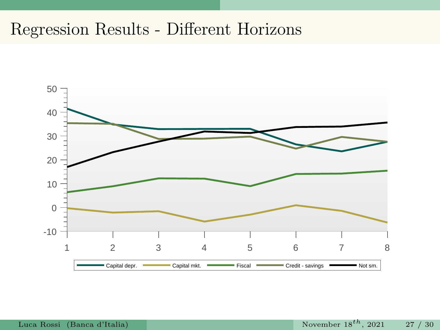# Regression Results - Different Horizons

![](_page_27_Figure_1.jpeg)

Luca Rossi (Banca d'Italia) November  $18^{th}$ , 2021 27 / 30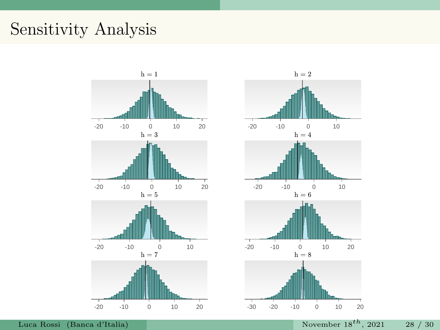# Sensitivity Analysis

![](_page_28_Figure_1.jpeg)

![](_page_28_Figure_2.jpeg)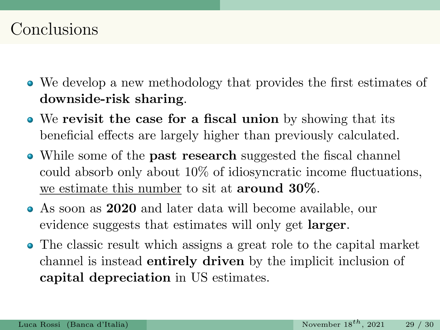### Conclusions

- We develop a new methodology that provides the first estimates of downside-risk sharing.
- We revisit the case for a fiscal union by showing that its beneficial effects are largely higher than previously calculated.
- While some of the **past research** suggested the fiscal channel could absorb only about 10% of idiosyncratic income fluctuations, we estimate this number to sit at around 30%.
- As soon as 2020 and later data will become available, our evidence suggests that estimates will only get **larger**.
- The classic result which assigns a great role to the capital market channel is instead entirely driven by the implicit inclusion of capital depreciation in US estimates.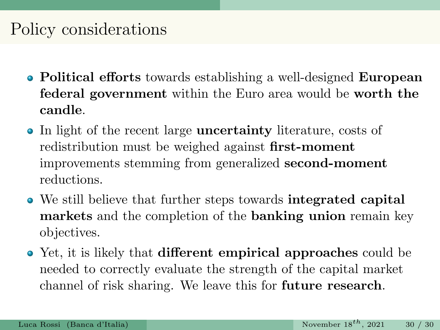# Policy considerations

- Political efforts towards establishing a well-designed European federal government within the Euro area would be worth the candle.
- In light of the recent large **uncertainty** literature, costs of redistribution must be weighed against first-moment improvements stemming from generalized second-moment reductions.
- We still believe that further steps towards integrated capital markets and the completion of the banking union remain key objectives.
- Yet, it is likely that **different empirical approaches** could be needed to correctly evaluate the strength of the capital market channel of risk sharing. We leave this for future research.